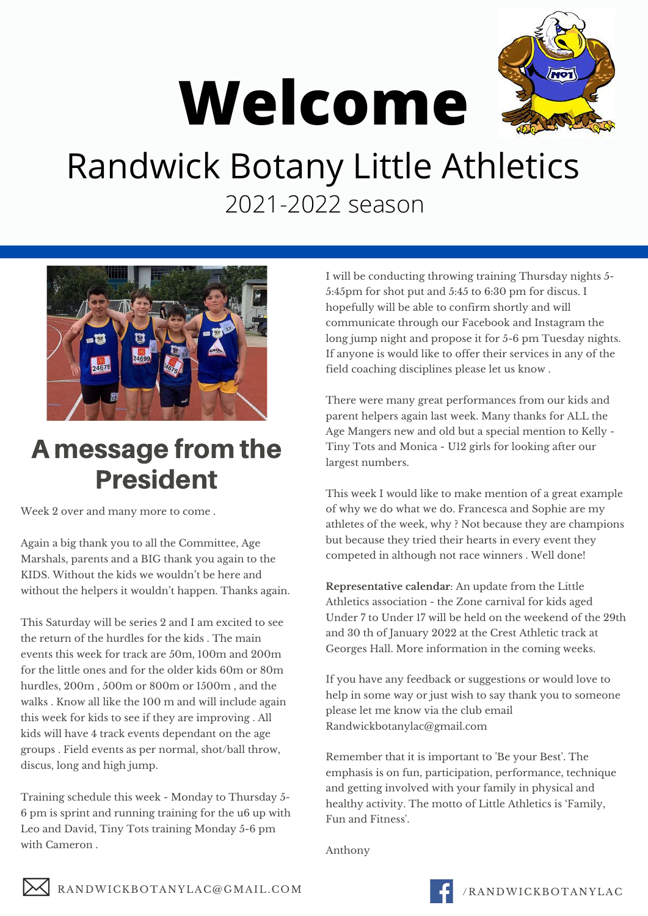

# **Welcome**

## Randwick Botany Little Athletics 2021-2022 season



### A message from the President

Week 2 over and many more to come .

Again a big thank you to all the Committee, Age Marshals, parents and a BIG thank you again to the KIDS. Without the kids we wouldn't be here and without the helpers it wouldn't happen. Thanks again.

This Saturday will be series 2 and I am excited to see the return of the hurdles for the kids . The main events this week for track are 50m, 100m and 200m for the little ones and for the older kids 60m or 80m hurdles, 200m, 500m or 800m or 1500m, and the walks . Know all like the 100 m and will include again this week for kids to see if they are improving . All kids will have 4 track events dependant on the age groups . Field events as per normal, shot/ball throw, discus, long and high jump.

Training schedule this week - Monday to Thursday 5- 6 pm is sprint and running training for the u6 up with Leo and David, Tiny Tots training Monday 5-6 pm with Cameron .

I will be conducting throwing training Thursday nights 5- 5:45pm for shot put and 5:45 to 6:30 pm for discus. I hopefully will be able to confirm shortly and will communicate through our Facebook and Instagram the long jump night and propose it for 5-6 pm Tuesday nights. If anyone is would like to offer their services in any of the field coaching disciplines please let us know .

There were many great performances from our kids and parent helpers again last week. Many thanks for ALL the Age Mangers new and old but a special mention to Kelly - Tiny Tots and Monica - U12 girls for looking after our largest numbers.

This week I would like to make mention of a great example of why we do what we do. Francesca and Sophie are my athletes of the week, why ? Not because they are champions but because they tried their hearts in every event they competed in although not race winners . Well done!

**Representative calendar**: An update from the Little Athletics association - the Zone carnival for kids aged Under 7 to Under 17 will be held on the weekend of the 29th and 30 th of January 2022 at the Crest Athletic track at Georges Hall. More information in the coming weeks.

If you have any feedback or suggestions or would love to help in some way or just wish to say thank you to someone please let me know via the club email [Randwickbotanylac@gmail.com](mailto:Randwickbotanylac@gmail.com)

Remember that it is important to 'Be your Best'. The emphasis is on fun, participation, performance, technique and getting involved with your family in physical and healthy activity. The motto of Little Athletics is 'Family, Fun and Fitness'.

Anthony